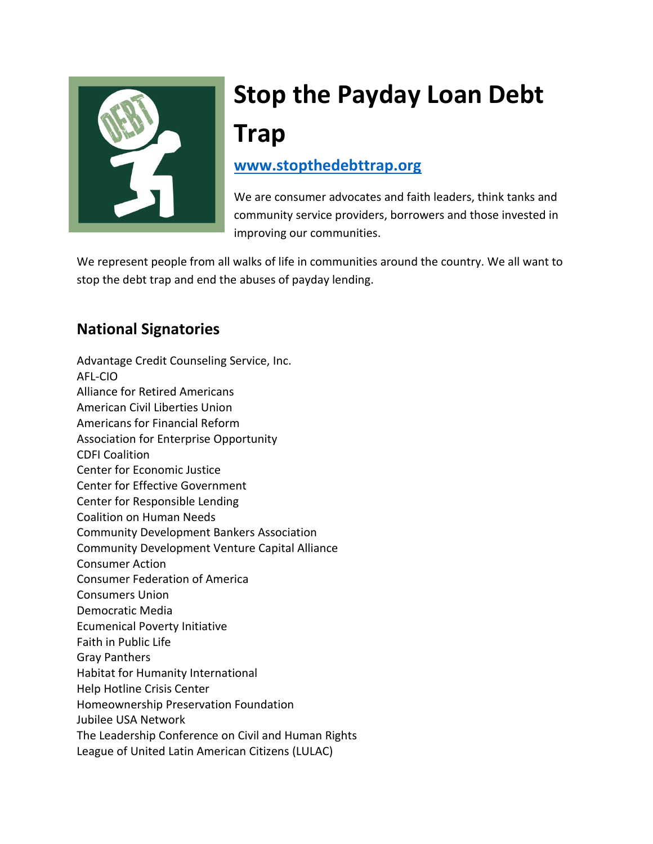

# **Stop the Payday Loan Debt Trap**

# **[www.stopthedebttrap.org](http://www.stopthedebttrap.org/)**

We are consumer advocates and faith leaders, think tanks and community service providers, borrowers and those invested in improving our communities.

We represent people from all walks of life in communities around the country. We all want to stop the debt trap and end the abuses of payday lending.

# **National Signatories**

Advantage Credit Counseling Service, Inc. AFL-CIO Alliance for Retired Americans American Civil Liberties Union Americans for Financial Reform Association for Enterprise Opportunity CDFI Coalition Center for Economic Justice Center for Effective Government Center for Responsible Lending Coalition on Human Needs Community Development Bankers Association Community Development Venture Capital Alliance Consumer Action Consumer Federation of America Consumers Union Democratic Media Ecumenical Poverty Initiative Faith in Public Life Gray Panthers Habitat for Humanity International Help Hotline Crisis Center Homeownership Preservation Foundation Jubilee USA Network The Leadership Conference on Civil and Human Rights League of United Latin American Citizens (LULAC)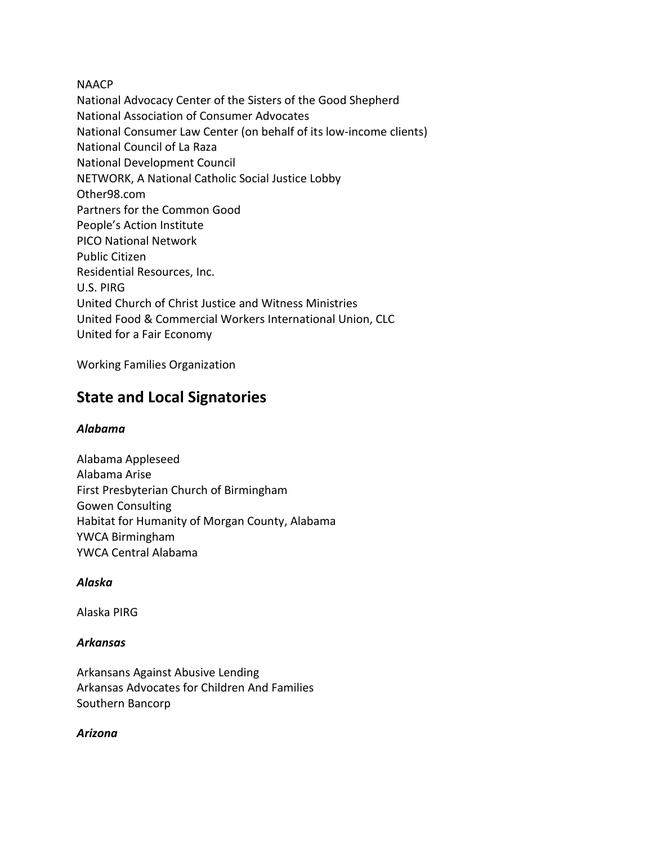#### NAACP

National Advocacy Center of the Sisters of the Good Shepherd National Association of Consumer Advocates National Consumer Law Center (on behalf of its low-income clients) National Council of La Raza National Development Council NETWORK, A National Catholic Social Justice Lobby Other98.com Partners for the Common Good People's Action Institute PICO National Network Public Citizen Residential Resources, Inc. U.S. PIRG United Church of Christ Justice and Witness Ministries United Food & Commercial Workers International Union, CLC United for a Fair Economy

Working Families Organization

# **State and Local Signatories**

# *Alabama*

Alabama Appleseed Alabama Arise First Presbyterian Church of Birmingham Gowen Consulting Habitat for Humanity of Morgan County, Alabama YWCA Birmingham YWCA Central Alabama

# *Alaska*

Alaska PIRG

# *Arkansas*

Arkansans Against Abusive Lending Arkansas Advocates for Children And Families Southern Bancorp

# *Arizona*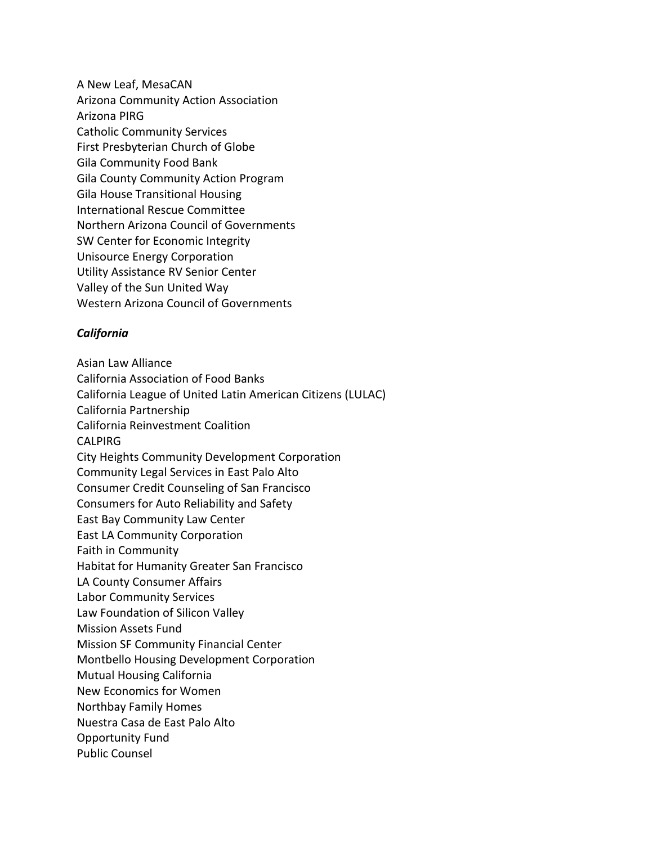A New Leaf, MesaCAN Arizona Community Action Association Arizona PIRG Catholic Community Services First Presbyterian Church of Globe Gila Community Food Bank Gila County Community Action Program Gila House Transitional Housing International Rescue Committee Northern Arizona Council of Governments SW Center for Economic Integrity Unisource Energy Corporation Utility Assistance RV Senior Center Valley of the Sun United Way Western Arizona Council of Governments

# *California*

Asian Law Alliance California Association of Food Banks California League of United Latin American Citizens (LULAC) California Partnership California Reinvestment Coalition CALPIRG City Heights Community Development Corporation Community Legal Services in East Palo Alto Consumer Credit Counseling of San Francisco Consumers for Auto Reliability and Safety East Bay Community Law Center East LA Community Corporation Faith in Community Habitat for Humanity Greater San Francisco LA County Consumer Affairs Labor Community Services Law Foundation of Silicon Valley Mission Assets Fund Mission SF Community Financial Center Montbello Housing Development Corporation Mutual Housing California New Economics for Women Northbay Family Homes Nuestra Casa de East Palo Alto Opportunity Fund Public Counsel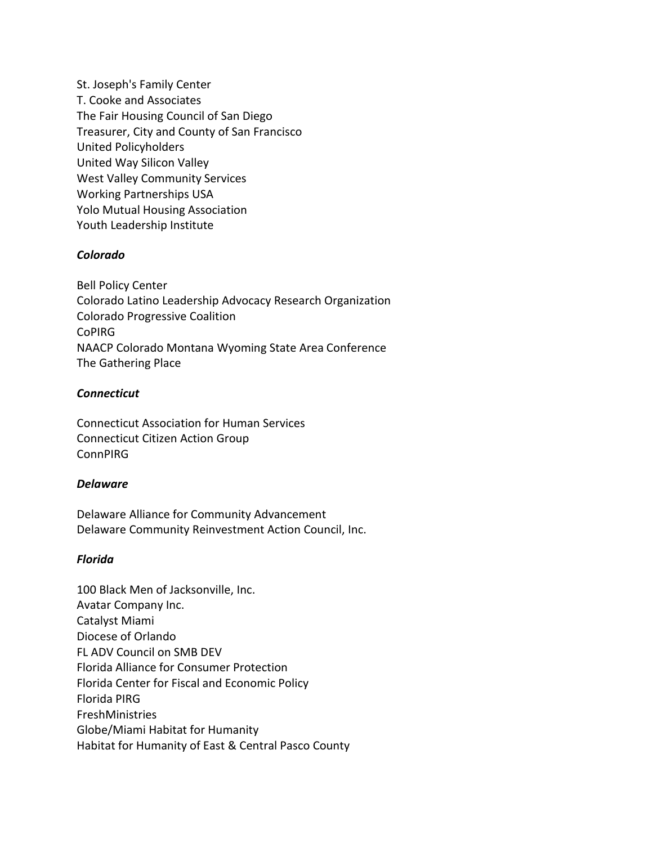St. Joseph's Family Center T. Cooke and Associates The Fair Housing Council of San Diego Treasurer, City and County of San Francisco United Policyholders United Way Silicon Valley West Valley Community Services Working Partnerships USA Yolo Mutual Housing Association Youth Leadership Institute

# *Colorado*

Bell Policy Center Colorado Latino Leadership Advocacy Research Organization Colorado Progressive Coalition CoPIRG NAACP Colorado Montana Wyoming State Area Conference The Gathering Place

# *Connecticut*

Connecticut Association for Human Services Connecticut Citizen Action Group ConnPIRG

#### *Delaware*

Delaware Alliance for Community Advancement Delaware Community Reinvestment Action Council, Inc.

#### *Florida*

100 Black Men of Jacksonville, Inc. Avatar Company Inc. Catalyst Miami Diocese of Orlando FL ADV Council on SMB DEV Florida Alliance for Consumer Protection Florida Center for Fiscal and Economic Policy Florida PIRG FreshMinistries Globe/Miami Habitat for Humanity Habitat for Humanity of East & Central Pasco County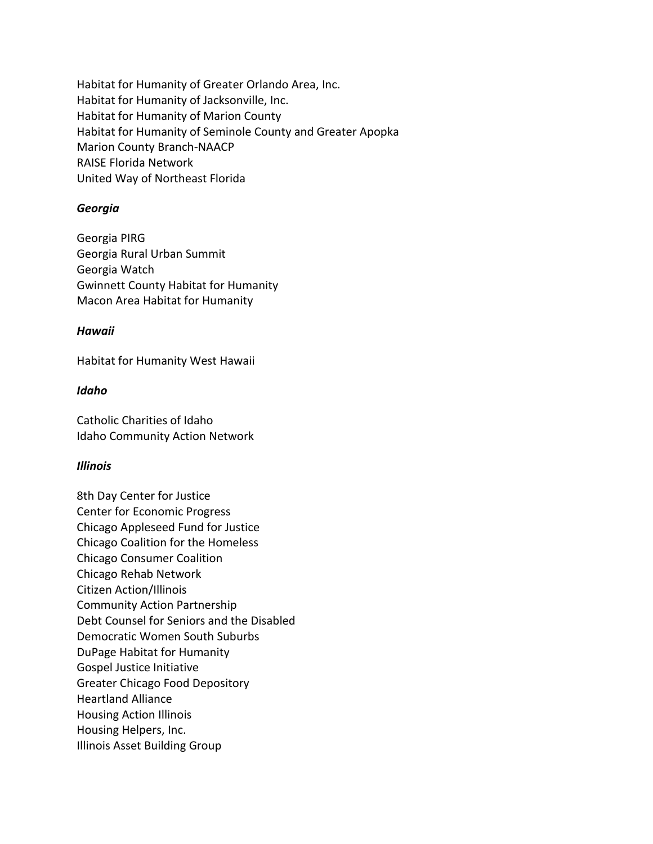Habitat for Humanity of Greater Orlando Area, Inc. Habitat for Humanity of Jacksonville, Inc. Habitat for Humanity of Marion County Habitat for Humanity of Seminole County and Greater Apopka Marion County Branch-NAACP RAISE Florida Network United Way of Northeast Florida

# *Georgia*

Georgia PIRG Georgia Rural Urban Summit Georgia Watch Gwinnett County Habitat for Humanity Macon Area Habitat for Humanity

# *Hawaii*

Habitat for Humanity West Hawaii

# *Idaho*

Catholic Charities of Idaho Idaho Community Action Network

# *Illinois*

8th Day Center for Justice Center for Economic Progress Chicago Appleseed Fund for Justice Chicago Coalition for the Homeless Chicago Consumer Coalition Chicago Rehab Network Citizen Action/Illinois Community Action Partnership Debt Counsel for Seniors and the Disabled Democratic Women South Suburbs DuPage Habitat for Humanity Gospel Justice Initiative Greater Chicago Food Depository Heartland Alliance Housing Action Illinois Housing Helpers, Inc. Illinois Asset Building Group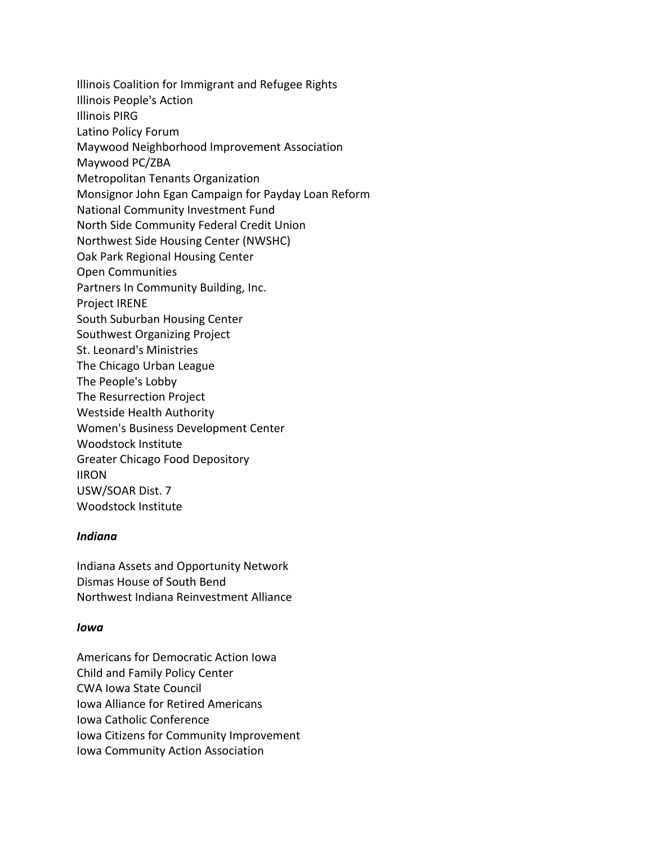Illinois Coalition for Immigrant and Refugee Rights Illinois People's Action Illinois PIRG Latino Policy Forum Maywood Neighborhood Improvement Association Maywood PC/ZBA Metropolitan Tenants Organization Monsignor John Egan Campaign for Payday Loan Reform National Community Investment Fund North Side Community Federal Credit Union Northwest Side Housing Center (NWSHC) Oak Park Regional Housing Center Open Communities Partners In Community Building, Inc. Project IRENE South Suburban Housing Center Southwest Organizing Project St. Leonard's Ministries The Chicago Urban League The People's Lobby The Resurrection Project Westside Health Authority Women's Business Development Center Woodstock Institute Greater Chicago Food Depository IIRON USW/SOAR Dist. 7 Woodstock Institute

# *Indiana*

Indiana Assets and Opportunity Network Dismas House of South Bend Northwest Indiana Reinvestment Alliance

# *Iowa*

Americans for Democratic Action Iowa Child and Family Policy Center CWA Iowa State Council Iowa Alliance for Retired Americans Iowa Catholic Conference Iowa Citizens for Community Improvement Iowa Community Action Association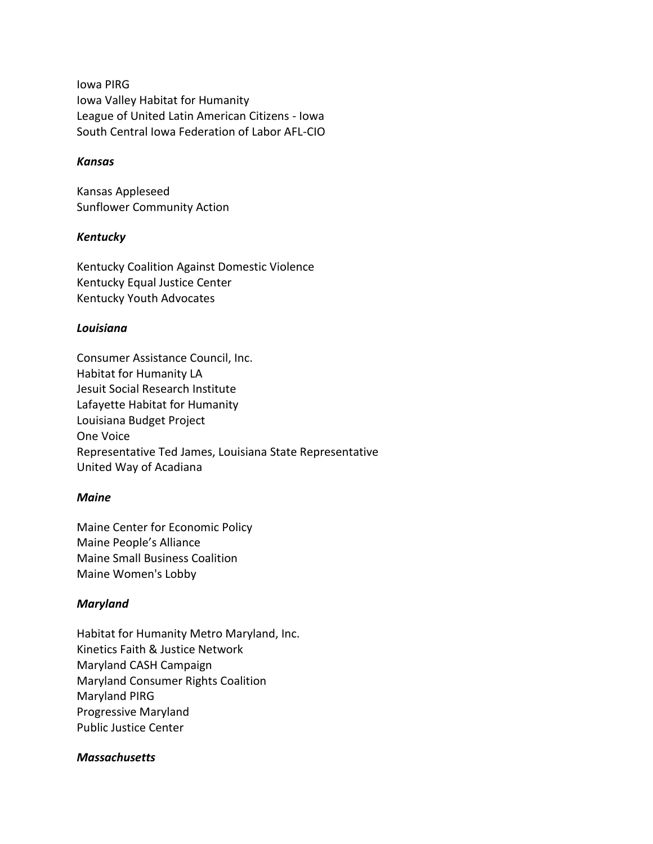Iowa PIRG Iowa Valley Habitat for Humanity League of United Latin American Citizens - Iowa South Central Iowa Federation of Labor AFL-CIO

#### *Kansas*

Kansas Appleseed Sunflower Community Action

# *Kentucky*

Kentucky Coalition Against Domestic Violence Kentucky Equal Justice Center Kentucky Youth Advocates

# *Louisiana*

Consumer Assistance Council, Inc. Habitat for Humanity LA Jesuit Social Research Institute Lafayette Habitat for Humanity Louisiana Budget Project One Voice Representative Ted James, Louisiana State Representative United Way of Acadiana

# *Maine*

Maine Center for Economic Policy Maine People's Alliance Maine Small Business Coalition Maine Women's Lobby

# *Maryland*

Habitat for Humanity Metro Maryland, Inc. Kinetics Faith & Justice Network Maryland CASH Campaign Maryland Consumer Rights Coalition Maryland PIRG Progressive Maryland Public Justice Center

#### *Massachusetts*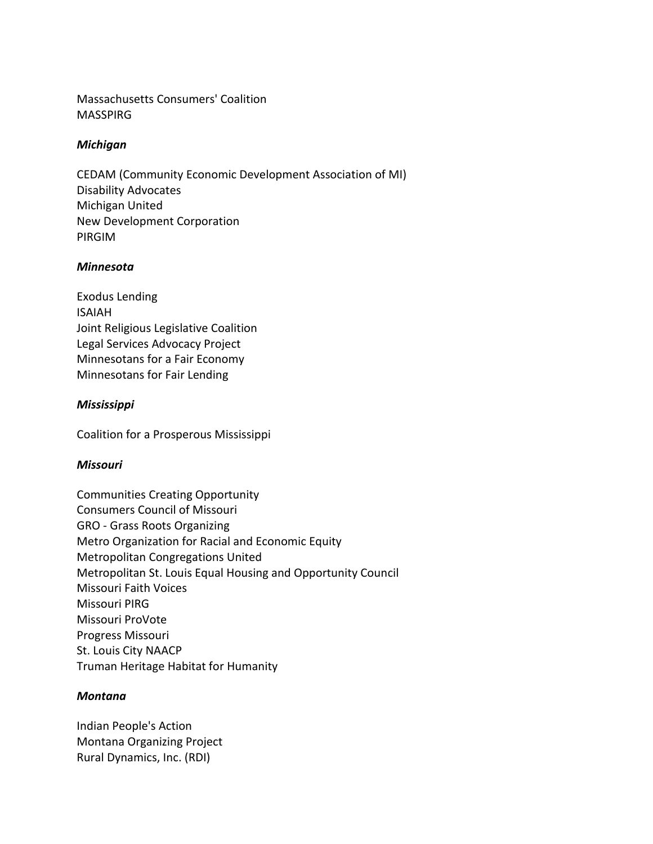Massachusetts Consumers' Coalition MASSPIRG

# *Michigan*

CEDAM (Community Economic Development Association of MI) Disability Advocates Michigan United New Development Corporation PIRGIM

# *Minnesota*

Exodus Lending ISAIAH Joint Religious Legislative Coalition Legal Services Advocacy Project Minnesotans for a Fair Economy Minnesotans for Fair Lending

# *Mississippi*

Coalition for a Prosperous Mississippi

# *Missouri*

Communities Creating Opportunity Consumers Council of Missouri GRO - Grass Roots Organizing Metro Organization for Racial and Economic Equity Metropolitan Congregations United Metropolitan St. Louis Equal Housing and Opportunity Council Missouri Faith Voices Missouri PIRG Missouri ProVote Progress Missouri St. Louis City NAACP Truman Heritage Habitat for Humanity

# *Montana*

Indian People's Action Montana Organizing Project Rural Dynamics, Inc. (RDI)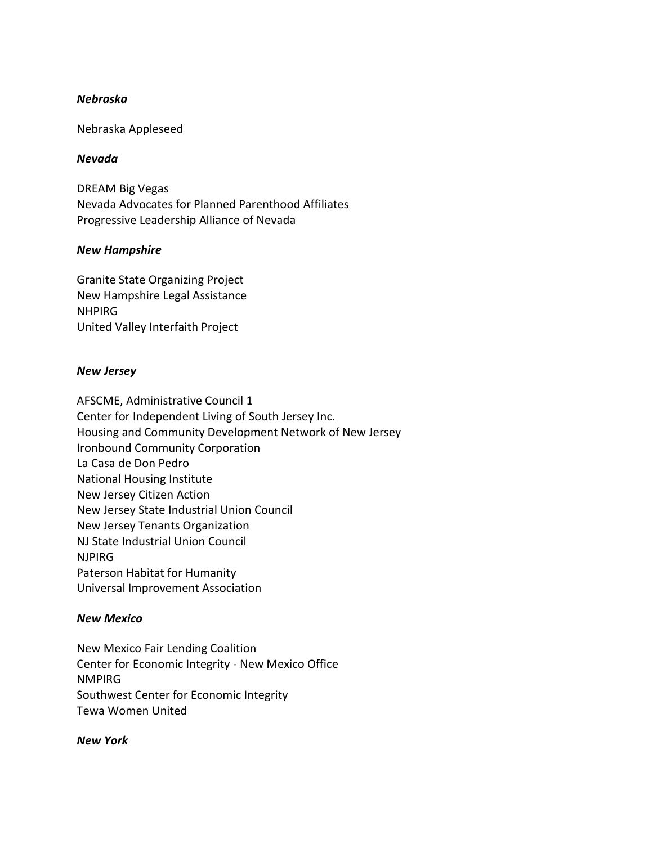# *Nebraska*

Nebraska Appleseed

#### *Nevada*

DREAM Big Vegas Nevada Advocates for Planned Parenthood Affiliates Progressive Leadership Alliance of Nevada

#### *New Hampshire*

Granite State Organizing Project New Hampshire Legal Assistance **NHPIRG** United Valley Interfaith Project

#### *New Jersey*

AFSCME, Administrative Council 1 Center for Independent Living of South Jersey Inc. Housing and Community Development Network of New Jersey Ironbound Community Corporation La Casa de Don Pedro National Housing Institute New Jersey Citizen Action New Jersey State Industrial Union Council New Jersey Tenants Organization NJ State Industrial Union Council NJPIRG Paterson Habitat for Humanity Universal Improvement Association

#### *New Mexico*

New Mexico Fair Lending Coalition Center for Economic Integrity - New Mexico Office NMPIRG Southwest Center for Economic Integrity Tewa Women United

#### *New York*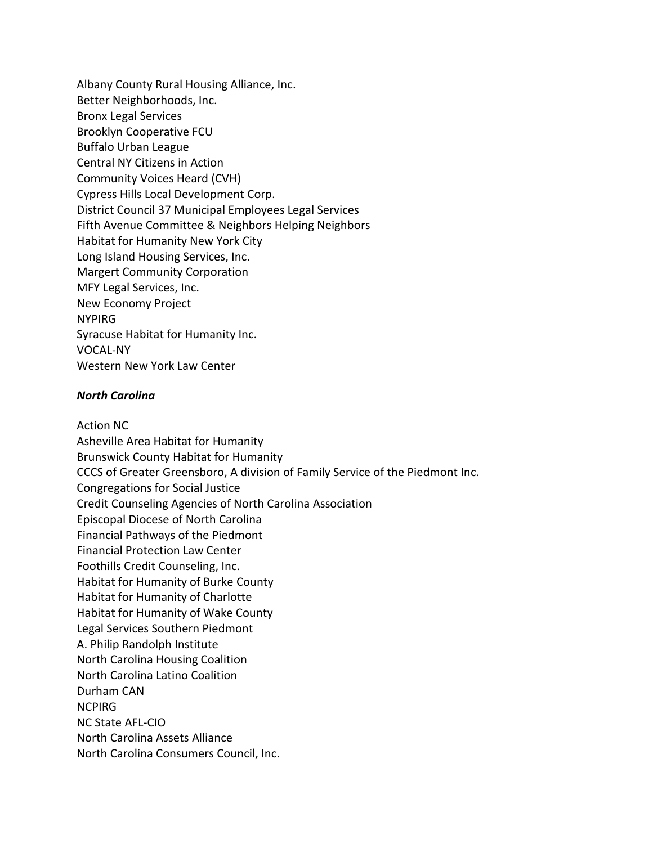Albany County Rural Housing Alliance, Inc. Better Neighborhoods, Inc. Bronx Legal Services Brooklyn Cooperative FCU Buffalo Urban League Central NY Citizens in Action Community Voices Heard (CVH) Cypress Hills Local Development Corp. District Council 37 Municipal Employees Legal Services Fifth Avenue Committee & Neighbors Helping Neighbors Habitat for Humanity New York City Long Island Housing Services, Inc. Margert Community Corporation MFY Legal Services, Inc. New Economy Project **NYPIRG** Syracuse Habitat for Humanity Inc. VOCAL-NY Western New York Law Center

#### *North Carolina*

Action NC Asheville Area Habitat for Humanity Brunswick County Habitat for Humanity CCCS of Greater Greensboro, A division of Family Service of the Piedmont Inc. Congregations for Social Justice Credit Counseling Agencies of North Carolina Association Episcopal Diocese of North Carolina Financial Pathways of the Piedmont Financial Protection Law Center Foothills Credit Counseling, Inc. Habitat for Humanity of Burke County Habitat for Humanity of Charlotte Habitat for Humanity of Wake County Legal Services Southern Piedmont A. Philip Randolph Institute North Carolina Housing Coalition North Carolina Latino Coalition Durham CAN NCPIRG NC State AFL-CIO North Carolina Assets Alliance North Carolina Consumers Council, Inc.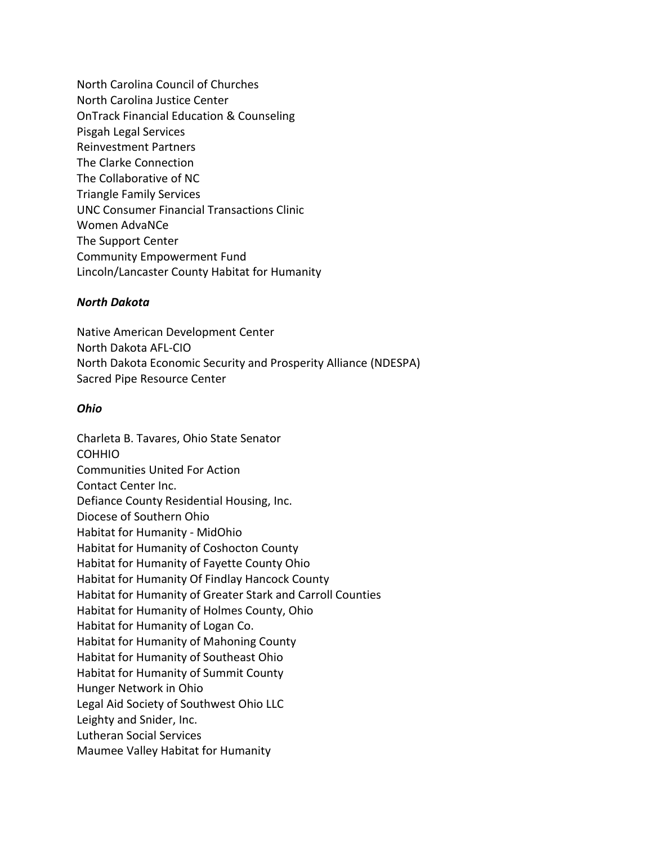North Carolina Council of Churches North Carolina Justice Center OnTrack Financial Education & Counseling Pisgah Legal Services Reinvestment Partners The Clarke Connection The Collaborative of NC Triangle Family Services UNC Consumer Financial Transactions Clinic Women AdvaNCe The Support Center Community Empowerment Fund Lincoln/Lancaster County Habitat for Humanity

# *North Dakota*

Native American Development Center North Dakota AFL-CIO North Dakota Economic Security and Prosperity Alliance (NDESPA) Sacred Pipe Resource Center

#### *Ohio*

Charleta B. Tavares, Ohio State Senator COHHIO Communities United For Action Contact Center Inc. Defiance County Residential Housing, Inc. Diocese of Southern Ohio Habitat for Humanity - MidOhio Habitat for Humanity of Coshocton County Habitat for Humanity of Fayette County Ohio Habitat for Humanity Of Findlay Hancock County Habitat for Humanity of Greater Stark and Carroll Counties Habitat for Humanity of Holmes County, Ohio Habitat for Humanity of Logan Co. Habitat for Humanity of Mahoning County Habitat for Humanity of Southeast Ohio Habitat for Humanity of Summit County Hunger Network in Ohio Legal Aid Society of Southwest Ohio LLC Leighty and Snider, Inc. Lutheran Social Services Maumee Valley Habitat for Humanity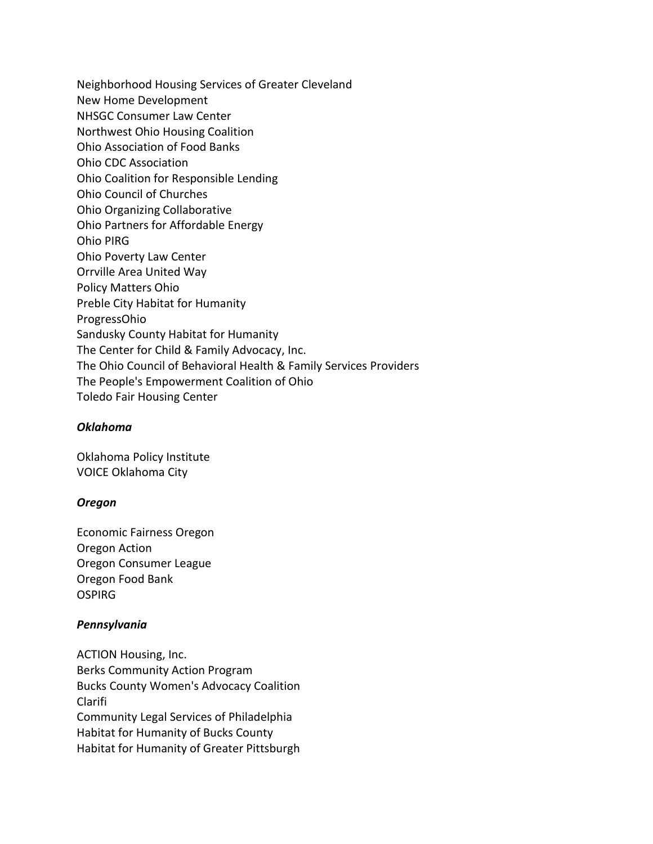Neighborhood Housing Services of Greater Cleveland New Home Development NHSGC Consumer Law Center Northwest Ohio Housing Coalition Ohio Association of Food Banks Ohio CDC Association Ohio Coalition for Responsible Lending Ohio Council of Churches Ohio Organizing Collaborative Ohio Partners for Affordable Energy Ohio PIRG Ohio Poverty Law Center Orrville Area United Way Policy Matters Ohio Preble City Habitat for Humanity ProgressOhio Sandusky County Habitat for Humanity The Center for Child & Family Advocacy, Inc. The Ohio Council of Behavioral Health & Family Services Providers The People's Empowerment Coalition of Ohio Toledo Fair Housing Center

#### *Oklahoma*

Oklahoma Policy Institute VOICE Oklahoma City

#### *Oregon*

Economic Fairness Oregon Oregon Action Oregon Consumer League Oregon Food Bank **OSPIRG** 

#### *Pennsylvania*

ACTION Housing, Inc. Berks Community Action Program Bucks County Women's Advocacy Coalition Clarifi Community Legal Services of Philadelphia Habitat for Humanity of Bucks County Habitat for Humanity of Greater Pittsburgh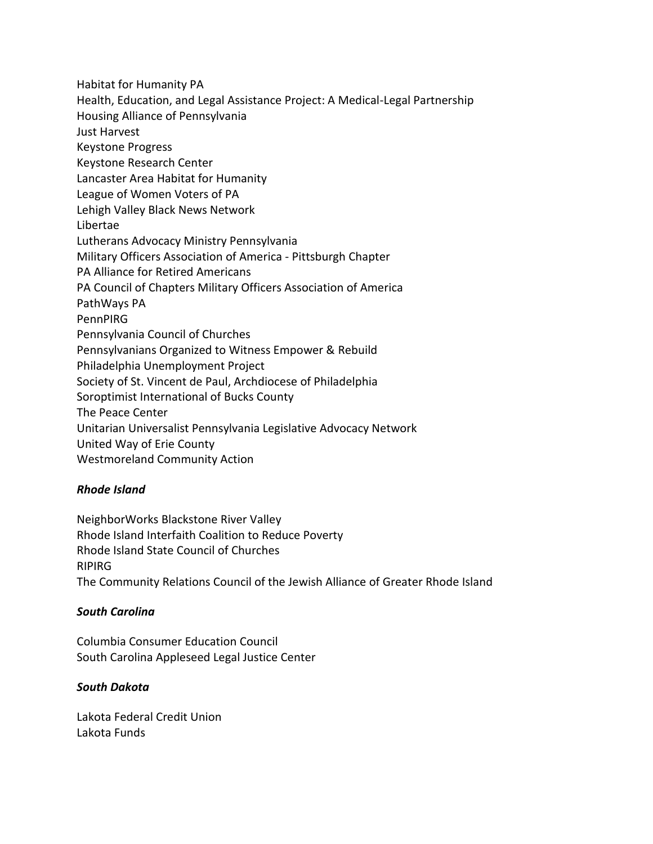Habitat for Humanity PA Health, Education, and Legal Assistance Project: A Medical-Legal Partnership Housing Alliance of Pennsylvania Just Harvest Keystone Progress Keystone Research Center Lancaster Area Habitat for Humanity League of Women Voters of PA Lehigh Valley Black News Network Libertae Lutherans Advocacy Ministry Pennsylvania Military Officers Association of America - Pittsburgh Chapter PA Alliance for Retired Americans PA Council of Chapters Military Officers Association of America PathWays PA PennPIRG Pennsylvania Council of Churches Pennsylvanians Organized to Witness Empower & Rebuild Philadelphia Unemployment Project Society of St. Vincent de Paul, Archdiocese of Philadelphia Soroptimist International of Bucks County The Peace Center Unitarian Universalist Pennsylvania Legislative Advocacy Network United Way of Erie County Westmoreland Community Action

# *Rhode Island*

NeighborWorks Blackstone River Valley Rhode Island Interfaith Coalition to Reduce Poverty Rhode Island State Council of Churches RIPIRG The Community Relations Council of the Jewish Alliance of Greater Rhode Island

# *South Carolina*

Columbia Consumer Education Council South Carolina Appleseed Legal Justice Center

# *South Dakota*

Lakota Federal Credit Union Lakota Funds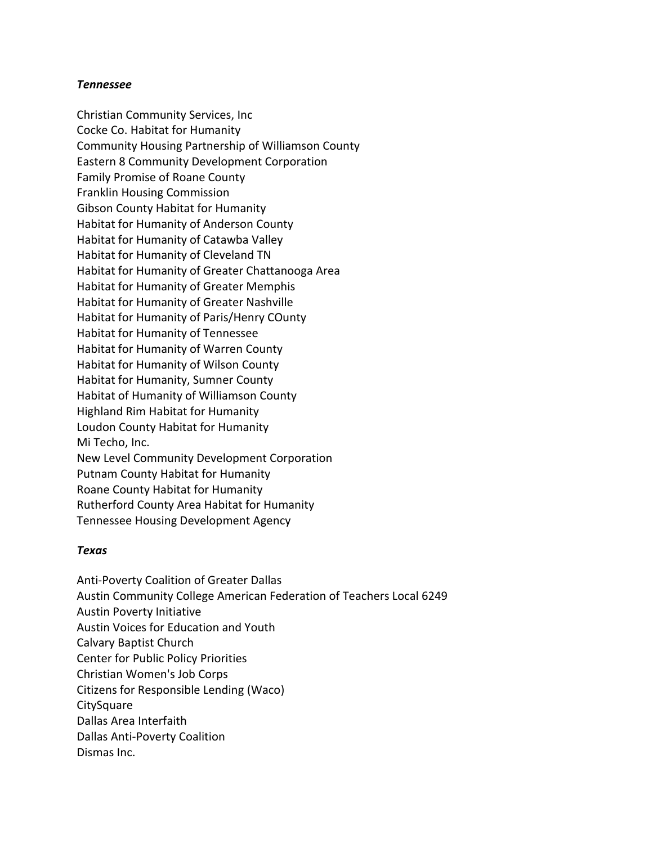#### *Tennessee*

Christian Community Services, Inc Cocke Co. Habitat for Humanity Community Housing Partnership of Williamson County Eastern 8 Community Development Corporation Family Promise of Roane County Franklin Housing Commission Gibson County Habitat for Humanity Habitat for Humanity of Anderson County Habitat for Humanity of Catawba Valley Habitat for Humanity of Cleveland TN Habitat for Humanity of Greater Chattanooga Area Habitat for Humanity of Greater Memphis Habitat for Humanity of Greater Nashville Habitat for Humanity of Paris/Henry COunty Habitat for Humanity of Tennessee Habitat for Humanity of Warren County Habitat for Humanity of Wilson County Habitat for Humanity, Sumner County Habitat of Humanity of Williamson County Highland Rim Habitat for Humanity Loudon County Habitat for Humanity Mi Techo, Inc. New Level Community Development Corporation Putnam County Habitat for Humanity Roane County Habitat for Humanity Rutherford County Area Habitat for Humanity Tennessee Housing Development Agency

#### *Texas*

Anti-Poverty Coalition of Greater Dallas Austin Community College American Federation of Teachers Local 6249 Austin Poverty Initiative Austin Voices for Education and Youth Calvary Baptist Church Center for Public Policy Priorities Christian Women's Job Corps Citizens for Responsible Lending (Waco) **CitySquare** Dallas Area Interfaith Dallas Anti-Poverty Coalition Dismas Inc.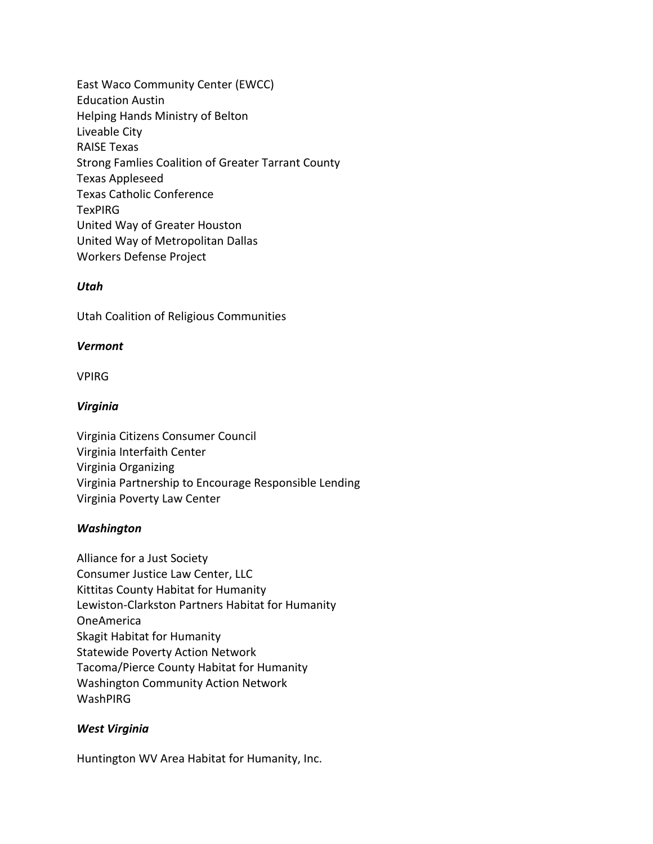East Waco Community Center (EWCC) Education Austin Helping Hands Ministry of Belton Liveable City RAISE Texas Strong Famlies Coalition of Greater Tarrant County Texas Appleseed Texas Catholic Conference TexPIRG United Way of Greater Houston United Way of Metropolitan Dallas Workers Defense Project

# *Utah*

Utah Coalition of Religious Communities

#### *Vermont*

VPIRG

#### *Virginia*

Virginia Citizens Consumer Council Virginia Interfaith Center Virginia Organizing Virginia Partnership to Encourage Responsible Lending Virginia Poverty Law Center

#### *Washington*

Alliance for a Just Society Consumer Justice Law Center, LLC Kittitas County Habitat for Humanity Lewiston-Clarkston Partners Habitat for Humanity OneAmerica Skagit Habitat for Humanity Statewide Poverty Action Network Tacoma/Pierce County Habitat for Humanity Washington Community Action Network WashPIRG

# *West Virginia*

Huntington WV Area Habitat for Humanity, Inc.